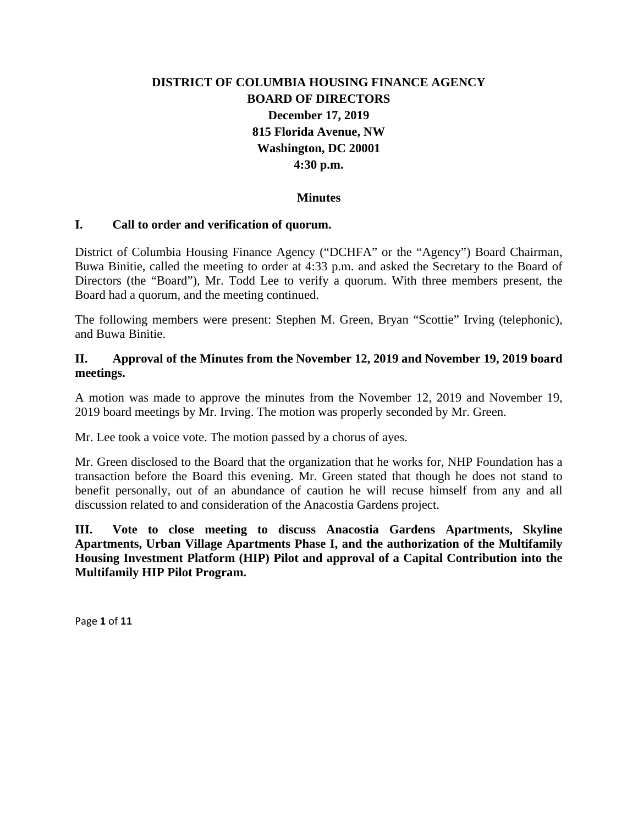# **DISTRICT OF COLUMBIA HOUSING FINANCE AGENCY BOARD OF DIRECTORS December 17, 2019 815 Florida Avenue, NW Washington, DC 20001 4:30 p.m.**

#### **Minutes**

#### **I. Call to order and verification of quorum.**

District of Columbia Housing Finance Agency ("DCHFA" or the "Agency") Board Chairman, Buwa Binitie, called the meeting to order at 4:33 p.m. and asked the Secretary to the Board of Directors (the "Board"), Mr. Todd Lee to verify a quorum. With three members present, the Board had a quorum, and the meeting continued.

The following members were present: Stephen M. Green, Bryan "Scottie" Irving (telephonic), and Buwa Binitie.

#### **II. Approval of the Minutes from the November 12, 2019 and November 19, 2019 board meetings.**

A motion was made to approve the minutes from the November 12, 2019 and November 19, 2019 board meetings by Mr. Irving. The motion was properly seconded by Mr. Green.

Mr. Lee took a voice vote. The motion passed by a chorus of ayes.

Mr. Green disclosed to the Board that the organization that he works for, NHP Foundation has a transaction before the Board this evening. Mr. Green stated that though he does not stand to benefit personally, out of an abundance of caution he will recuse himself from any and all discussion related to and consideration of the Anacostia Gardens project.

**III. Vote to close meeting to discuss Anacostia Gardens Apartments, Skyline Apartments, Urban Village Apartments Phase I, and the authorization of the Multifamily Housing Investment Platform (HIP) Pilot and approval of a Capital Contribution into the Multifamily HIP Pilot Program.**

Page **1** of **11**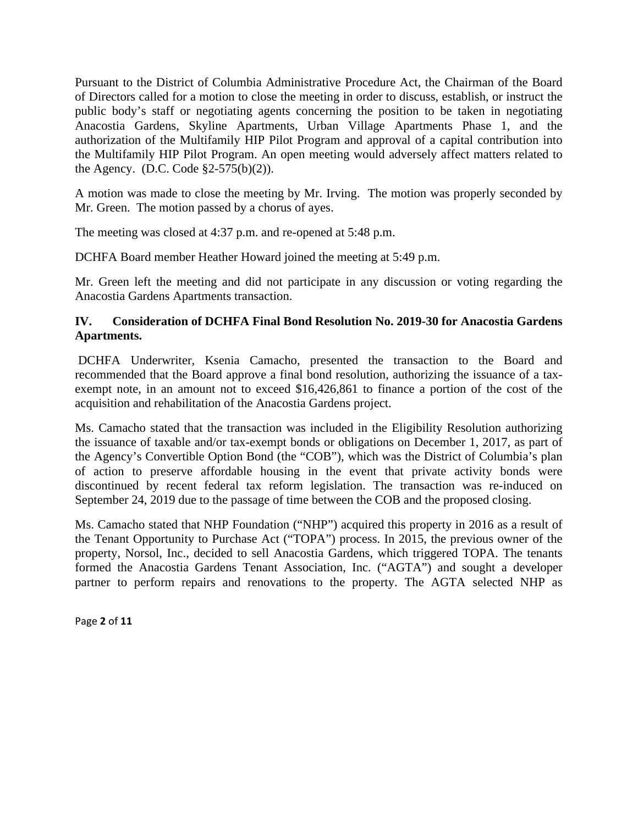Pursuant to the District of Columbia Administrative Procedure Act, the Chairman of the Board of Directors called for a motion to close the meeting in order to discuss, establish, or instruct the public body's staff or negotiating agents concerning the position to be taken in negotiating Anacostia Gardens, Skyline Apartments, Urban Village Apartments Phase 1, and the authorization of the Multifamily HIP Pilot Program and approval of a capital contribution into the Multifamily HIP Pilot Program. An open meeting would adversely affect matters related to the Agency. (D.C. Code  $\S2-575(b)(2)$ ).

A motion was made to close the meeting by Mr. Irving. The motion was properly seconded by Mr. Green. The motion passed by a chorus of ayes.

The meeting was closed at 4:37 p.m. and re-opened at 5:48 p.m.

DCHFA Board member Heather Howard joined the meeting at 5:49 p.m.

Mr. Green left the meeting and did not participate in any discussion or voting regarding the Anacostia Gardens Apartments transaction.

#### **IV. Consideration of DCHFA Final Bond Resolution No. 2019-30 for Anacostia Gardens Apartments.**

DCHFA Underwriter, Ksenia Camacho, presented the transaction to the Board and recommended that the Board approve a final bond resolution, authorizing the issuance of a taxexempt note, in an amount not to exceed \$16,426,861 to finance a portion of the cost of the acquisition and rehabilitation of the Anacostia Gardens project.

Ms. Camacho stated that the transaction was included in the Eligibility Resolution authorizing the issuance of taxable and/or tax-exempt bonds or obligations on December 1, 2017, as part of the Agency's Convertible Option Bond (the "COB"), which was the District of Columbia's plan of action to preserve affordable housing in the event that private activity bonds were discontinued by recent federal tax reform legislation. The transaction was re-induced on September 24, 2019 due to the passage of time between the COB and the proposed closing.

Ms. Camacho stated that NHP Foundation ("NHP") acquired this property in 2016 as a result of the Tenant Opportunity to Purchase Act ("TOPA") process. In 2015, the previous owner of the property, Norsol, Inc., decided to sell Anacostia Gardens, which triggered TOPA. The tenants formed the Anacostia Gardens Tenant Association, Inc. ("AGTA") and sought a developer partner to perform repairs and renovations to the property. The AGTA selected NHP as

Page **2** of **11**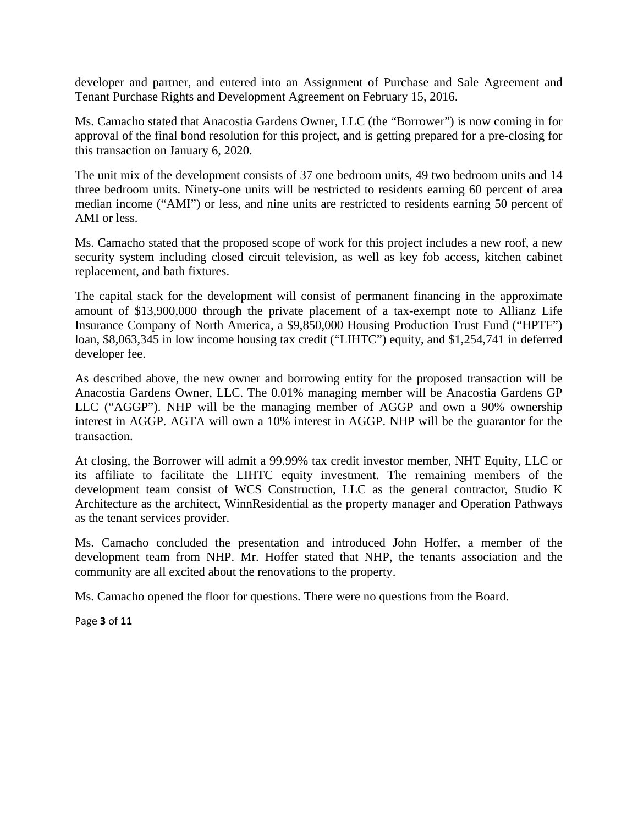developer and partner, and entered into an Assignment of Purchase and Sale Agreement and Tenant Purchase Rights and Development Agreement on February 15, 2016.

Ms. Camacho stated that Anacostia Gardens Owner, LLC (the "Borrower") is now coming in for approval of the final bond resolution for this project, and is getting prepared for a pre-closing for this transaction on January 6, 2020.

The unit mix of the development consists of 37 one bedroom units, 49 two bedroom units and 14 three bedroom units. Ninety-one units will be restricted to residents earning 60 percent of area median income ("AMI") or less, and nine units are restricted to residents earning 50 percent of AMI or less.

Ms. Camacho stated that the proposed scope of work for this project includes a new roof, a new security system including closed circuit television, as well as key fob access, kitchen cabinet replacement, and bath fixtures.

The capital stack for the development will consist of permanent financing in the approximate amount of \$13,900,000 through the private placement of a tax-exempt note to Allianz Life Insurance Company of North America, a \$9,850,000 Housing Production Trust Fund ("HPTF") loan, \$8,063,345 in low income housing tax credit ("LIHTC") equity, and \$1,254,741 in deferred developer fee.

As described above, the new owner and borrowing entity for the proposed transaction will be Anacostia Gardens Owner, LLC. The 0.01% managing member will be Anacostia Gardens GP LLC ("AGGP"). NHP will be the managing member of AGGP and own a 90% ownership interest in AGGP. AGTA will own a 10% interest in AGGP. NHP will be the guarantor for the transaction.

At closing, the Borrower will admit a 99.99% tax credit investor member, NHT Equity, LLC or its affiliate to facilitate the LIHTC equity investment. The remaining members of the development team consist of WCS Construction, LLC as the general contractor, Studio K Architecture as the architect, WinnResidential as the property manager and Operation Pathways as the tenant services provider.

Ms. Camacho concluded the presentation and introduced John Hoffer, a member of the development team from NHP. Mr. Hoffer stated that NHP, the tenants association and the community are all excited about the renovations to the property.

Ms. Camacho opened the floor for questions. There were no questions from the Board.

Page **3** of **11**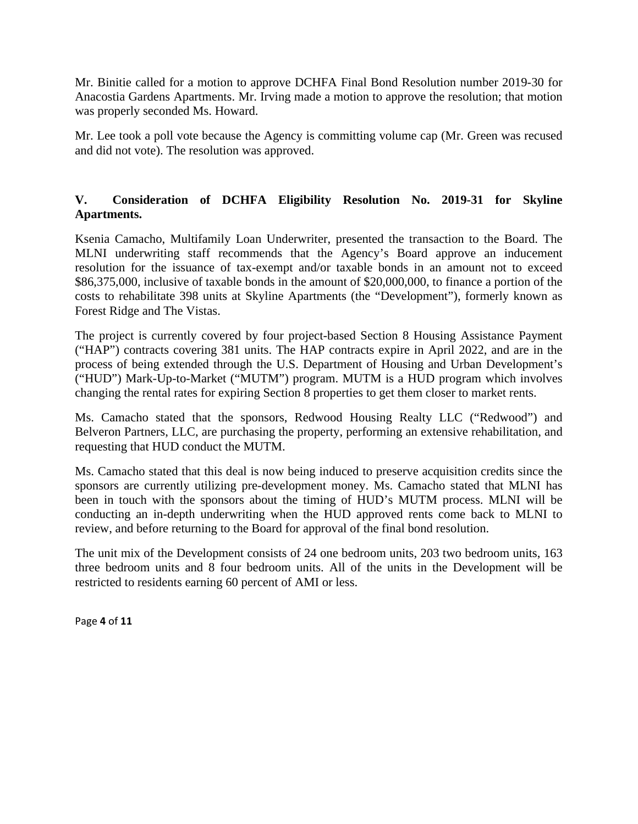Mr. Binitie called for a motion to approve DCHFA Final Bond Resolution number 2019-30 for Anacostia Gardens Apartments. Mr. Irving made a motion to approve the resolution; that motion was properly seconded Ms. Howard.

Mr. Lee took a poll vote because the Agency is committing volume cap (Mr. Green was recused and did not vote). The resolution was approved.

## **V. Consideration of DCHFA Eligibility Resolution No. 2019-31 for Skyline Apartments.**

Ksenia Camacho, Multifamily Loan Underwriter, presented the transaction to the Board. The MLNI underwriting staff recommends that the Agency's Board approve an inducement resolution for the issuance of tax-exempt and/or taxable bonds in an amount not to exceed \$86,375,000, inclusive of taxable bonds in the amount of \$20,000,000, to finance a portion of the costs to rehabilitate 398 units at Skyline Apartments (the "Development"), formerly known as Forest Ridge and The Vistas.

The project is currently covered by four project-based Section 8 Housing Assistance Payment ("HAP") contracts covering 381 units. The HAP contracts expire in April 2022, and are in the process of being extended through the U.S. Department of Housing and Urban Development's ("HUD") Mark-Up-to-Market ("MUTM") program. MUTM is a HUD program which involves changing the rental rates for expiring Section 8 properties to get them closer to market rents.

Ms. Camacho stated that the sponsors, Redwood Housing Realty LLC ("Redwood") and Belveron Partners, LLC, are purchasing the property, performing an extensive rehabilitation, and requesting that HUD conduct the MUTM.

Ms. Camacho stated that this deal is now being induced to preserve acquisition credits since the sponsors are currently utilizing pre-development money. Ms. Camacho stated that MLNI has been in touch with the sponsors about the timing of HUD's MUTM process. MLNI will be conducting an in-depth underwriting when the HUD approved rents come back to MLNI to review, and before returning to the Board for approval of the final bond resolution.

The unit mix of the Development consists of 24 one bedroom units, 203 two bedroom units, 163 three bedroom units and 8 four bedroom units. All of the units in the Development will be restricted to residents earning 60 percent of AMI or less.

Page **4** of **11**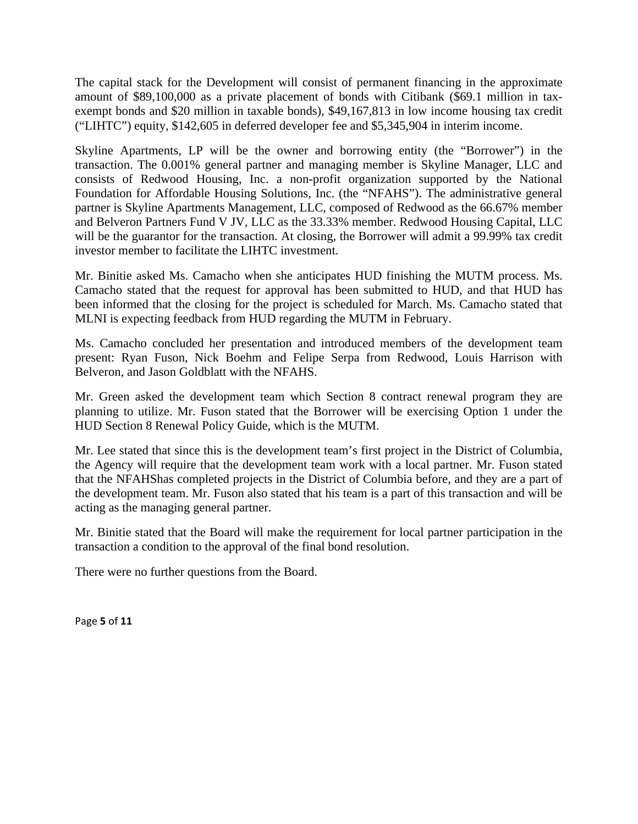The capital stack for the Development will consist of permanent financing in the approximate amount of \$89,100,000 as a private placement of bonds with Citibank (\$69.1 million in taxexempt bonds and \$20 million in taxable bonds), \$49,167,813 in low income housing tax credit ("LIHTC") equity, \$142,605 in deferred developer fee and \$5,345,904 in interim income.

Skyline Apartments, LP will be the owner and borrowing entity (the "Borrower") in the transaction. The 0.001% general partner and managing member is Skyline Manager, LLC and consists of Redwood Housing, Inc. a non-profit organization supported by the National Foundation for Affordable Housing Solutions, Inc. (the "NFAHS"). The administrative general partner is Skyline Apartments Management, LLC, composed of Redwood as the 66.67% member and Belveron Partners Fund V JV, LLC as the 33.33% member. Redwood Housing Capital, LLC will be the guarantor for the transaction. At closing, the Borrower will admit a 99.99% tax credit investor member to facilitate the LIHTC investment.

Mr. Binitie asked Ms. Camacho when she anticipates HUD finishing the MUTM process. Ms. Camacho stated that the request for approval has been submitted to HUD, and that HUD has been informed that the closing for the project is scheduled for March. Ms. Camacho stated that MLNI is expecting feedback from HUD regarding the MUTM in February.

Ms. Camacho concluded her presentation and introduced members of the development team present: Ryan Fuson, Nick Boehm and Felipe Serpa from Redwood, Louis Harrison with Belveron, and Jason Goldblatt with the NFAHS.

Mr. Green asked the development team which Section 8 contract renewal program they are planning to utilize. Mr. Fuson stated that the Borrower will be exercising Option 1 under the HUD Section 8 Renewal Policy Guide, which is the MUTM.

Mr. Lee stated that since this is the development team's first project in the District of Columbia, the Agency will require that the development team work with a local partner. Mr. Fuson stated that the NFAHShas completed projects in the District of Columbia before, and they are a part of the development team. Mr. Fuson also stated that his team is a part of this transaction and will be acting as the managing general partner.

Mr. Binitie stated that the Board will make the requirement for local partner participation in the transaction a condition to the approval of the final bond resolution.

There were no further questions from the Board.

Page **5** of **11**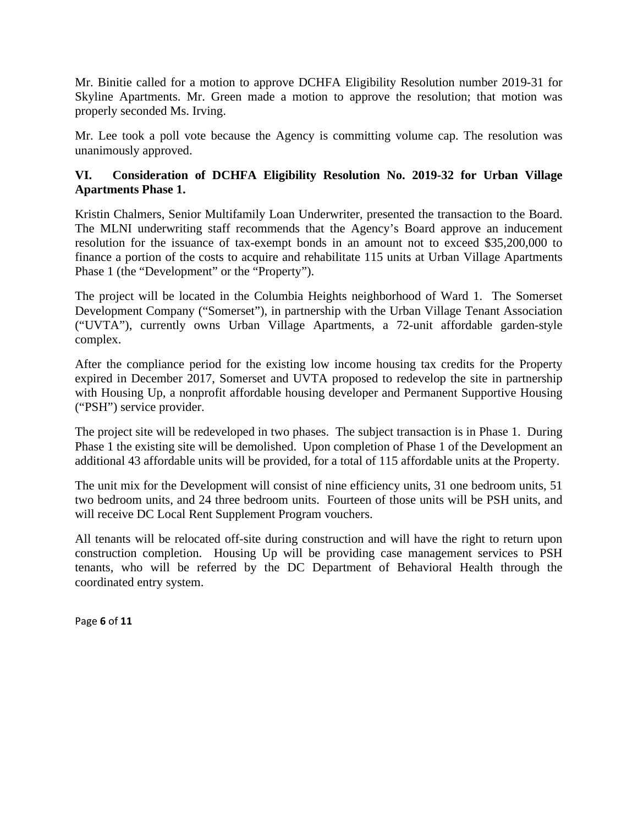Mr. Binitie called for a motion to approve DCHFA Eligibility Resolution number 2019-31 for Skyline Apartments. Mr. Green made a motion to approve the resolution; that motion was properly seconded Ms. Irving.

Mr. Lee took a poll vote because the Agency is committing volume cap. The resolution was unanimously approved.

### **VI. Consideration of DCHFA Eligibility Resolution No. 2019-32 for Urban Village Apartments Phase 1.**

Kristin Chalmers, Senior Multifamily Loan Underwriter, presented the transaction to the Board. The MLNI underwriting staff recommends that the Agency's Board approve an inducement resolution for the issuance of tax-exempt bonds in an amount not to exceed \$35,200,000 to finance a portion of the costs to acquire and rehabilitate 115 units at Urban Village Apartments Phase 1 (the "Development" or the "Property").

The project will be located in the Columbia Heights neighborhood of Ward 1. The Somerset Development Company ("Somerset"), in partnership with the Urban Village Tenant Association ("UVTA"), currently owns Urban Village Apartments, a 72-unit affordable garden-style complex.

After the compliance period for the existing low income housing tax credits for the Property expired in December 2017, Somerset and UVTA proposed to redevelop the site in partnership with Housing Up, a nonprofit affordable housing developer and Permanent Supportive Housing ("PSH") service provider.

The project site will be redeveloped in two phases. The subject transaction is in Phase 1. During Phase 1 the existing site will be demolished. Upon completion of Phase 1 of the Development an additional 43 affordable units will be provided, for a total of 115 affordable units at the Property.

The unit mix for the Development will consist of nine efficiency units, 31 one bedroom units, 51 two bedroom units, and 24 three bedroom units. Fourteen of those units will be PSH units, and will receive DC Local Rent Supplement Program vouchers.

All tenants will be relocated off-site during construction and will have the right to return upon construction completion. Housing Up will be providing case management services to PSH tenants, who will be referred by the DC Department of Behavioral Health through the coordinated entry system.

Page **6** of **11**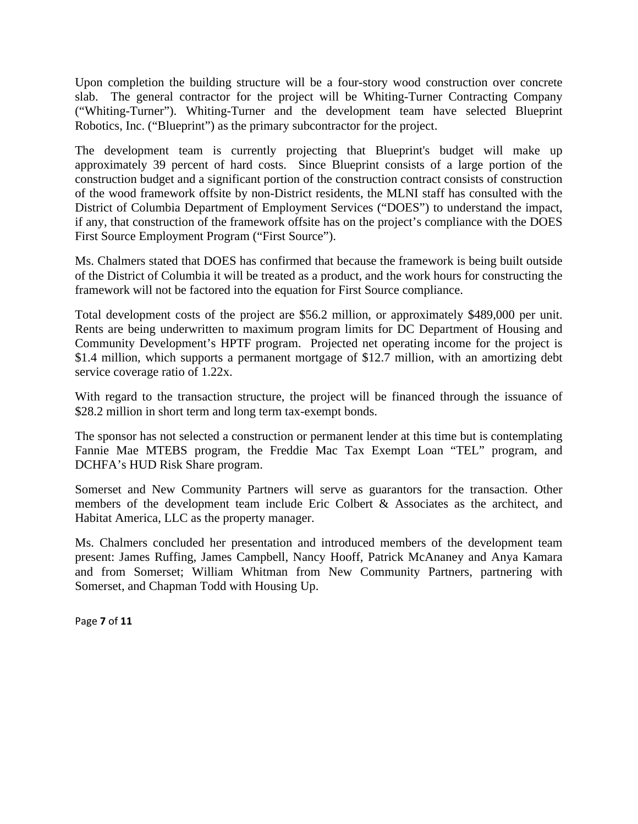Upon completion the building structure will be a four-story wood construction over concrete slab. The general contractor for the project will be Whiting-Turner Contracting Company ("Whiting-Turner"). Whiting-Turner and the development team have selected Blueprint Robotics, Inc. ("Blueprint") as the primary subcontractor for the project.

The development team is currently projecting that Blueprint's budget will make up approximately 39 percent of hard costs. Since Blueprint consists of a large portion of the construction budget and a significant portion of the construction contract consists of construction of the wood framework offsite by non-District residents, the MLNI staff has consulted with the District of Columbia Department of Employment Services ("DOES") to understand the impact, if any, that construction of the framework offsite has on the project's compliance with the DOES First Source Employment Program ("First Source").

Ms. Chalmers stated that DOES has confirmed that because the framework is being built outside of the District of Columbia it will be treated as a product, and the work hours for constructing the framework will not be factored into the equation for First Source compliance.

Total development costs of the project are \$56.2 million, or approximately \$489,000 per unit. Rents are being underwritten to maximum program limits for DC Department of Housing and Community Development's HPTF program. Projected net operating income for the project is \$1.4 million, which supports a permanent mortgage of \$12.7 million, with an amortizing debt service coverage ratio of 1.22x.

With regard to the transaction structure, the project will be financed through the issuance of \$28.2 million in short term and long term tax-exempt bonds.

The sponsor has not selected a construction or permanent lender at this time but is contemplating Fannie Mae MTEBS program, the Freddie Mac Tax Exempt Loan "TEL" program, and DCHFA's HUD Risk Share program.

Somerset and New Community Partners will serve as guarantors for the transaction. Other members of the development team include Eric Colbert & Associates as the architect, and Habitat America, LLC as the property manager.

Ms. Chalmers concluded her presentation and introduced members of the development team present: James Ruffing, James Campbell, Nancy Hooff, Patrick McAnaney and Anya Kamara and from Somerset; William Whitman from New Community Partners, partnering with Somerset, and Chapman Todd with Housing Up.

Page **7** of **11**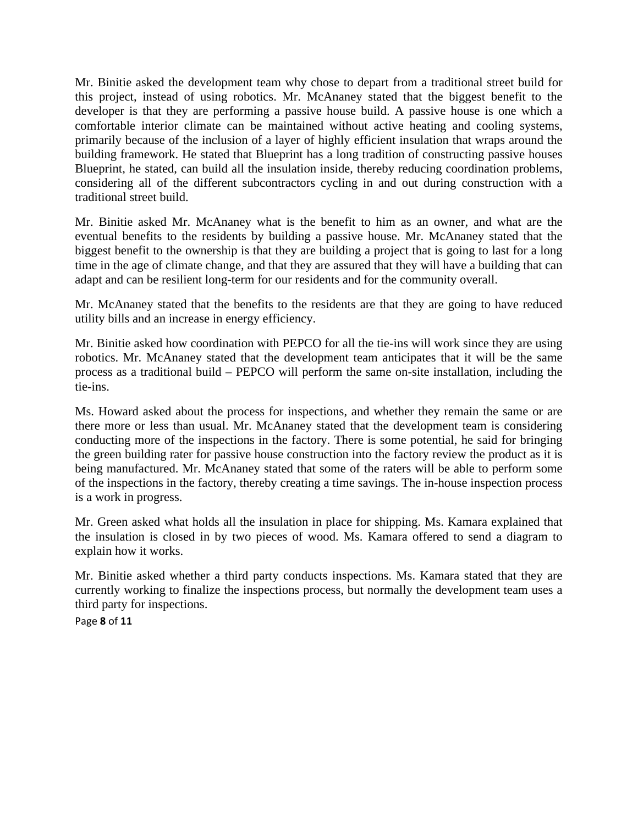Mr. Binitie asked the development team why chose to depart from a traditional street build for this project, instead of using robotics. Mr. McAnaney stated that the biggest benefit to the developer is that they are performing a passive house build. A passive house is one which a comfortable interior climate can be maintained without active heating and cooling systems, primarily because of the inclusion of a layer of highly efficient insulation that wraps around the building framework. He stated that Blueprint has a long tradition of constructing passive houses Blueprint, he stated, can build all the insulation inside, thereby reducing coordination problems, considering all of the different subcontractors cycling in and out during construction with a traditional street build.

Mr. Binitie asked Mr. McAnaney what is the benefit to him as an owner, and what are the eventual benefits to the residents by building a passive house. Mr. McAnaney stated that the biggest benefit to the ownership is that they are building a project that is going to last for a long time in the age of climate change, and that they are assured that they will have a building that can adapt and can be resilient long-term for our residents and for the community overall.

Mr. McAnaney stated that the benefits to the residents are that they are going to have reduced utility bills and an increase in energy efficiency.

Mr. Binitie asked how coordination with PEPCO for all the tie-ins will work since they are using robotics. Mr. McAnaney stated that the development team anticipates that it will be the same process as a traditional build – PEPCO will perform the same on-site installation, including the tie-ins.

Ms. Howard asked about the process for inspections, and whether they remain the same or are there more or less than usual. Mr. McAnaney stated that the development team is considering conducting more of the inspections in the factory. There is some potential, he said for bringing the green building rater for passive house construction into the factory review the product as it is being manufactured. Mr. McAnaney stated that some of the raters will be able to perform some of the inspections in the factory, thereby creating a time savings. The in-house inspection process is a work in progress.

Mr. Green asked what holds all the insulation in place for shipping. Ms. Kamara explained that the insulation is closed in by two pieces of wood. Ms. Kamara offered to send a diagram to explain how it works.

Mr. Binitie asked whether a third party conducts inspections. Ms. Kamara stated that they are currently working to finalize the inspections process, but normally the development team uses a third party for inspections.

Page **8** of **11**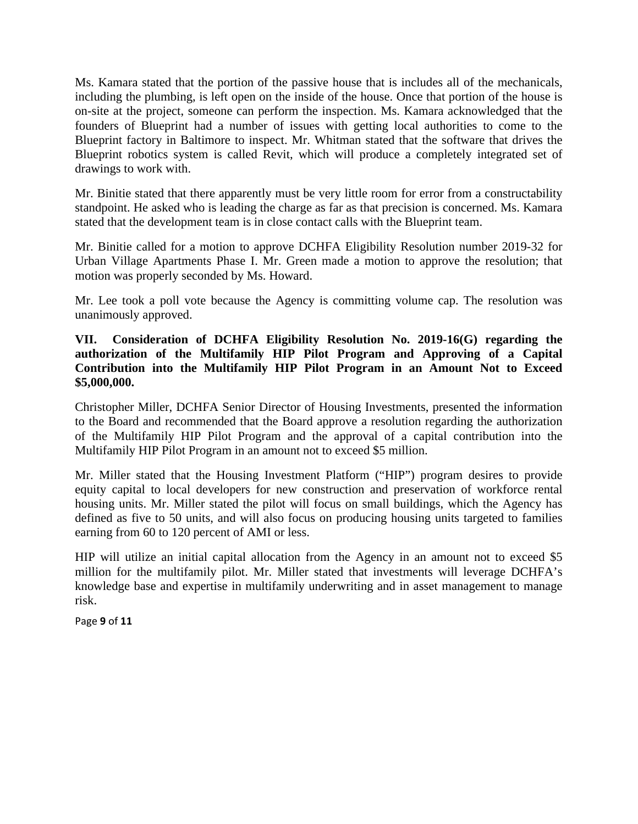Ms. Kamara stated that the portion of the passive house that is includes all of the mechanicals, including the plumbing, is left open on the inside of the house. Once that portion of the house is on-site at the project, someone can perform the inspection. Ms. Kamara acknowledged that the founders of Blueprint had a number of issues with getting local authorities to come to the Blueprint factory in Baltimore to inspect. Mr. Whitman stated that the software that drives the Blueprint robotics system is called Revit, which will produce a completely integrated set of drawings to work with.

Mr. Binitie stated that there apparently must be very little room for error from a constructability standpoint. He asked who is leading the charge as far as that precision is concerned. Ms. Kamara stated that the development team is in close contact calls with the Blueprint team.

Mr. Binitie called for a motion to approve DCHFA Eligibility Resolution number 2019-32 for Urban Village Apartments Phase I. Mr. Green made a motion to approve the resolution; that motion was properly seconded by Ms. Howard.

Mr. Lee took a poll vote because the Agency is committing volume cap. The resolution was unanimously approved.

#### **VII. Consideration of DCHFA Eligibility Resolution No. 2019-16(G) regarding the authorization of the Multifamily HIP Pilot Program and Approving of a Capital Contribution into the Multifamily HIP Pilot Program in an Amount Not to Exceed \$5,000,000.**

Christopher Miller, DCHFA Senior Director of Housing Investments, presented the information to the Board and recommended that the Board approve a resolution regarding the authorization of the Multifamily HIP Pilot Program and the approval of a capital contribution into the Multifamily HIP Pilot Program in an amount not to exceed \$5 million.

Mr. Miller stated that the Housing Investment Platform ("HIP") program desires to provide equity capital to local developers for new construction and preservation of workforce rental housing units. Mr. Miller stated the pilot will focus on small buildings, which the Agency has defined as five to 50 units, and will also focus on producing housing units targeted to families earning from 60 to 120 percent of AMI or less.

HIP will utilize an initial capital allocation from the Agency in an amount not to exceed \$5 million for the multifamily pilot. Mr. Miller stated that investments will leverage DCHFA's knowledge base and expertise in multifamily underwriting and in asset management to manage risk.

Page **9** of **11**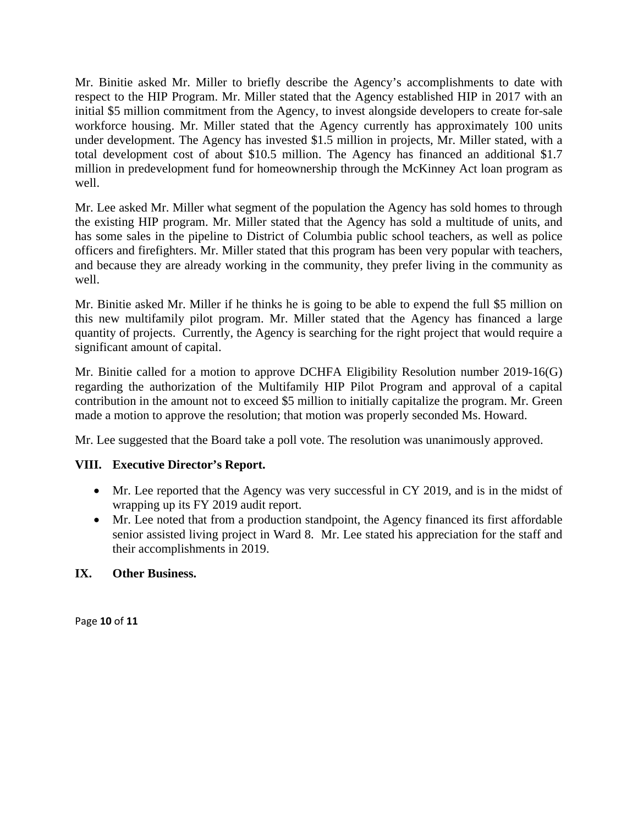Mr. Binitie asked Mr. Miller to briefly describe the Agency's accomplishments to date with respect to the HIP Program. Mr. Miller stated that the Agency established HIP in 2017 with an initial \$5 million commitment from the Agency, to invest alongside developers to create for-sale workforce housing. Mr. Miller stated that the Agency currently has approximately 100 units under development. The Agency has invested \$1.5 million in projects, Mr. Miller stated, with a total development cost of about \$10.5 million. The Agency has financed an additional \$1.7 million in predevelopment fund for homeownership through the McKinney Act loan program as well.

Mr. Lee asked Mr. Miller what segment of the population the Agency has sold homes to through the existing HIP program. Mr. Miller stated that the Agency has sold a multitude of units, and has some sales in the pipeline to District of Columbia public school teachers, as well as police officers and firefighters. Mr. Miller stated that this program has been very popular with teachers, and because they are already working in the community, they prefer living in the community as well.

Mr. Binitie asked Mr. Miller if he thinks he is going to be able to expend the full \$5 million on this new multifamily pilot program. Mr. Miller stated that the Agency has financed a large quantity of projects. Currently, the Agency is searching for the right project that would require a significant amount of capital.

Mr. Binitie called for a motion to approve DCHFA Eligibility Resolution number 2019-16(G) regarding the authorization of the Multifamily HIP Pilot Program and approval of a capital contribution in the amount not to exceed \$5 million to initially capitalize the program. Mr. Green made a motion to approve the resolution; that motion was properly seconded Ms. Howard.

Mr. Lee suggested that the Board take a poll vote. The resolution was unanimously approved.

### **VIII. Executive Director's Report.**

- Mr. Lee reported that the Agency was very successful in CY 2019, and is in the midst of wrapping up its FY 2019 audit report.
- Mr. Lee noted that from a production standpoint, the Agency financed its first affordable senior assisted living project in Ward 8. Mr. Lee stated his appreciation for the staff and their accomplishments in 2019.

### **IX. Other Business.**

Page **10** of **11**